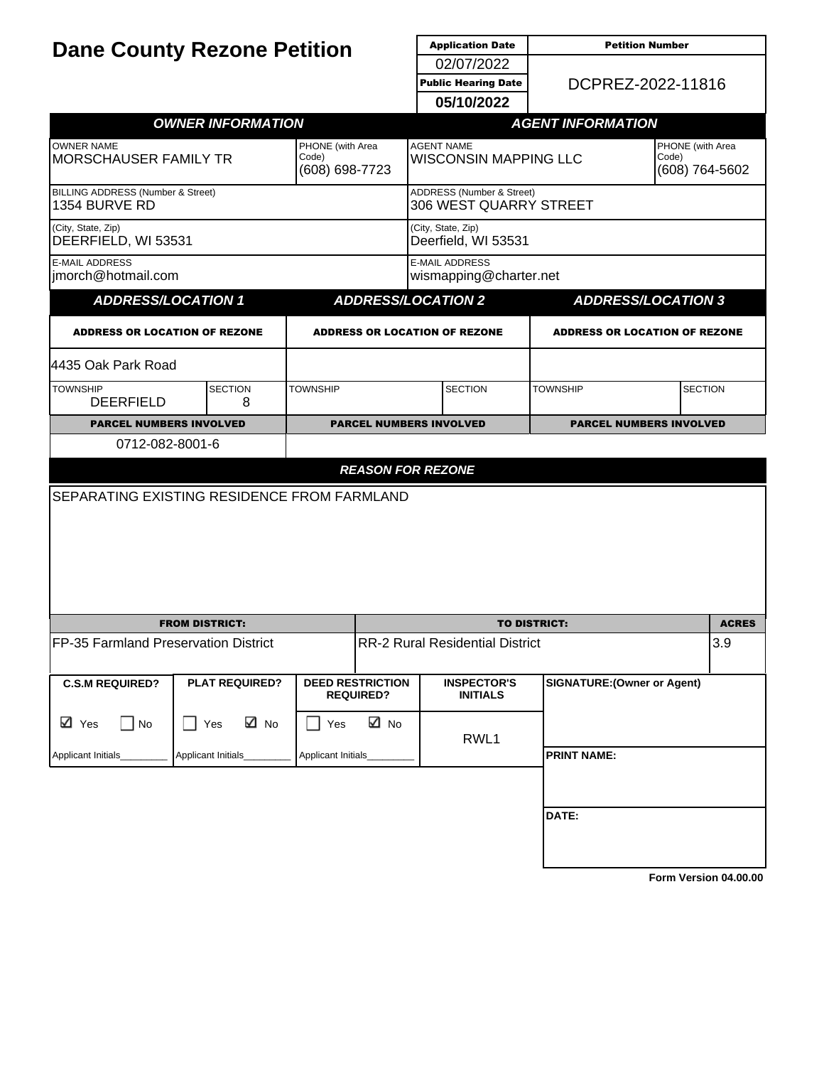| <b>Dane County Rezone Petition</b>                 |                                             |                                |                                                   | <b>Application Date</b>                             | <b>Petition Number</b>                      |                           |              |  |
|----------------------------------------------------|---------------------------------------------|--------------------------------|---------------------------------------------------|-----------------------------------------------------|---------------------------------------------|---------------------------|--------------|--|
|                                                    |                                             |                                |                                                   | 02/07/2022                                          |                                             | DCPREZ-2022-11816         |              |  |
|                                                    |                                             |                                | <b>Public Hearing Date</b>                        |                                                     |                                             |                           |              |  |
|                                                    |                                             |                                |                                                   | 05/10/2022                                          |                                             |                           |              |  |
|                                                    | <b>OWNER INFORMATION</b>                    |                                |                                                   |                                                     | <b>AGENT INFORMATION</b>                    |                           |              |  |
| <b>OWNER NAME</b><br><b>MORSCHAUSER FAMILY TR</b>  | PHONE (with Area<br>Code)<br>(608) 698-7723 |                                | <b>AGENT NAME</b><br><b>WISCONSIN MAPPING LLC</b> |                                                     | PHONE (with Area<br>Code)<br>(608) 764-5602 |                           |              |  |
| BILLING ADDRESS (Number & Street)<br>1354 BURVE RD |                                             |                                |                                                   | ADDRESS (Number & Street)<br>306 WEST QUARRY STREET |                                             |                           |              |  |
| (City, State, Zip)<br>DEERFIELD, WI 53531          |                                             |                                |                                                   | (City, State, Zip)<br>Deerfield, WI 53531           |                                             |                           |              |  |
| <b>E-MAIL ADDRESS</b><br>imorch@hotmail.com        |                                             |                                |                                                   | <b>E-MAIL ADDRESS</b><br>wismapping@charter.net     |                                             |                           |              |  |
| <b>ADDRESS/LOCATION 1</b>                          |                                             |                                |                                                   | <b>ADDRESS/LOCATION 2</b>                           |                                             | <b>ADDRESS/LOCATION 3</b> |              |  |
| <b>ADDRESS OR LOCATION OF REZONE</b>               |                                             |                                | <b>ADDRESS OR LOCATION OF REZONE</b>              |                                                     | <b>ADDRESS OR LOCATION OF REZONE</b>        |                           |              |  |
| 4435 Oak Park Road                                 |                                             |                                |                                                   |                                                     |                                             |                           |              |  |
| <b>TOWNSHIP</b><br><b>DEERFIELD</b>                | <b>SECTION</b><br>8                         | <b>TOWNSHIP</b>                |                                                   | <b>SECTION</b>                                      | <b>TOWNSHIP</b>                             | <b>SECTION</b>            |              |  |
| <b>PARCEL NUMBERS INVOLVED</b>                     |                                             | <b>PARCEL NUMBERS INVOLVED</b> |                                                   | <b>PARCEL NUMBERS INVOLVED</b>                      |                                             |                           |              |  |
| <b>SEPARATING EXISTING RESIDENCE FROM FARMLAND</b> |                                             |                                |                                                   |                                                     |                                             |                           |              |  |
|                                                    | <b>FROM DISTRICT:</b>                       |                                |                                                   |                                                     | <b>TO DISTRICT:</b>                         |                           | <b>ACRES</b> |  |
| FP-35 Farmland Preservation District               |                                             |                                | <b>RR-2 Rural Residential District</b>            |                                                     |                                             | 3.9                       |              |  |
| <b>C.S.M REQUIRED?</b>                             | <b>PLAT REQUIRED?</b>                       |                                | <b>DEED RESTRICTION</b><br><b>REQUIRED?</b>       | <b>INSPECTOR'S</b><br><b>INITIALS</b>               | <b>SIGNATURE: (Owner or Agent)</b>          |                           |              |  |
| ⊠ Yes<br>$\Box$ No                                 | ⊠ No<br>$\Box$ Yes<br>Applicant Initials_   | Yes<br>Applicant Initials      | ⊠ No                                              | RWL1                                                | <b>PRINT NAME:</b>                          |                           |              |  |
| Applicant Initials_                                |                                             |                                |                                                   |                                                     |                                             |                           |              |  |
|                                                    |                                             |                                |                                                   |                                                     | DATE:                                       |                           |              |  |
|                                                    |                                             |                                |                                                   |                                                     |                                             | Form Version 04.00.00     |              |  |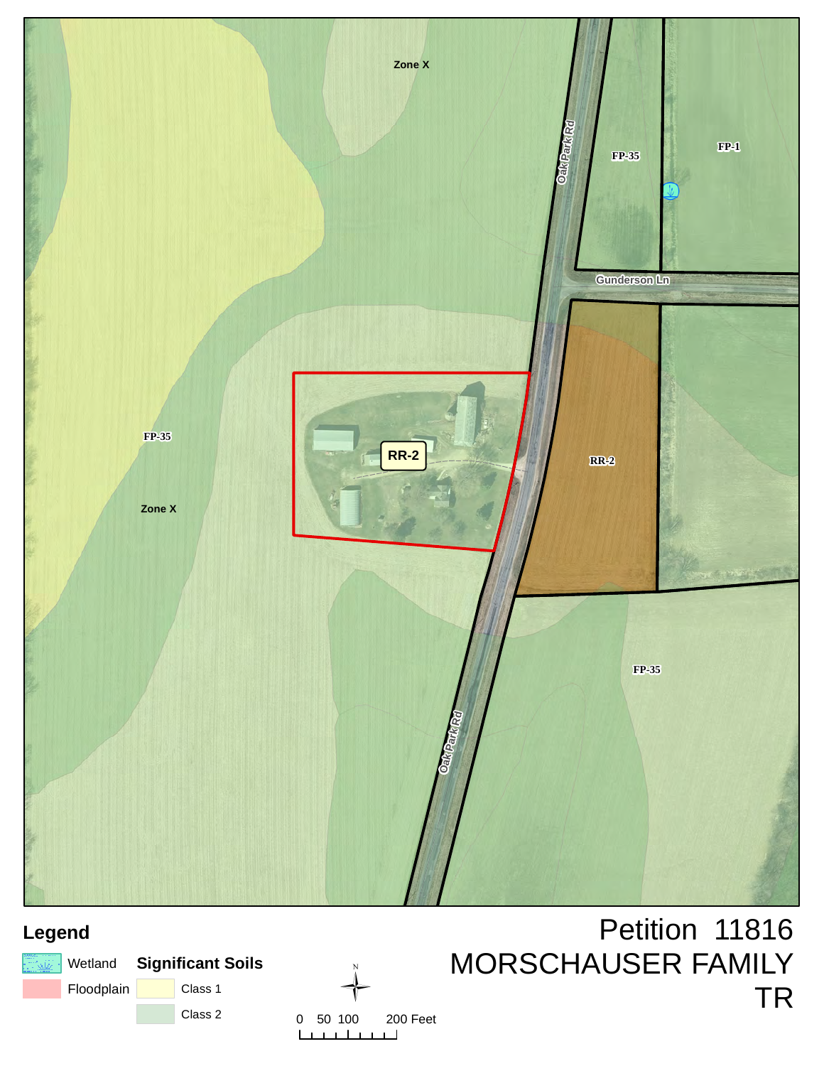

## **Legend**

|            | ि‱   Wetland <b>Significant Soils</b> |  |  |
|------------|---------------------------------------|--|--|
| Floodplain | Class 1                               |  |  |
|            | Class 2                               |  |  |



## Petition 11816 MORSCHAUSER FAMILY TR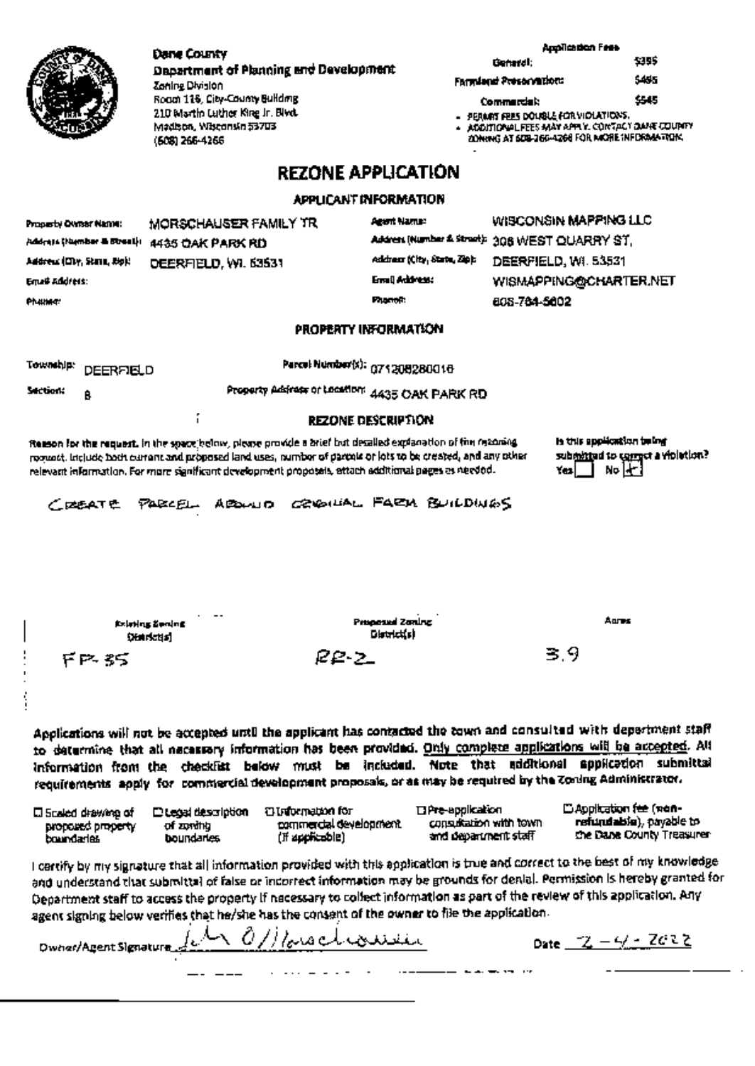|                                           | Dane County                                                                                                                                                                                                                                                                                                                           |                                       | Application Fass                                                                                  |                                              |  |  |
|-------------------------------------------|---------------------------------------------------------------------------------------------------------------------------------------------------------------------------------------------------------------------------------------------------------------------------------------------------------------------------------------|---------------------------------------|---------------------------------------------------------------------------------------------------|----------------------------------------------|--|--|
|                                           | Department of Planning and Development                                                                                                                                                                                                                                                                                                |                                       | 5395<br>General:                                                                                  |                                              |  |  |
|                                           | Zoning Division                                                                                                                                                                                                                                                                                                                       |                                       | Farmland Presentation:                                                                            | 5455                                         |  |  |
|                                           | Roam 116, City-County Building                                                                                                                                                                                                                                                                                                        |                                       | <b>Commercial:</b>                                                                                | 545                                          |  |  |
|                                           | 210 Martin Luther Kire Jr. Blvd.                                                                                                                                                                                                                                                                                                      |                                       | - Permat Fees Double For Violations.                                                              |                                              |  |  |
|                                           | Madison, Wisconsin 53703                                                                                                                                                                                                                                                                                                              |                                       | . ADDITIONAL FEES MAY APPLY. CONTACT DAME COUPIEY<br>ZONING AT SOB-266-4266 FOR MORE INFORMATION. |                                              |  |  |
|                                           | (508) 266-4266                                                                                                                                                                                                                                                                                                                        |                                       |                                                                                                   |                                              |  |  |
|                                           |                                                                                                                                                                                                                                                                                                                                       | <b>REZONE APPLICATION</b>             |                                                                                                   |                                              |  |  |
|                                           |                                                                                                                                                                                                                                                                                                                                       | APPLICANT INFORMATION                 |                                                                                                   |                                              |  |  |
|                                           | MORSCHAUSER FAMILY TR                                                                                                                                                                                                                                                                                                                 | Agent Name:                           | WISCONSIN MAPPING LLC                                                                             |                                              |  |  |
| Property Owner Name:                      |                                                                                                                                                                                                                                                                                                                                       |                                       | Address (Number 4 Strant): 308 WEST QUARRY ST.                                                    |                                              |  |  |
| Address (Hamber & Birest):                | 4435 OAK PARK RD                                                                                                                                                                                                                                                                                                                      |                                       |                                                                                                   |                                              |  |  |
| Address (City, Stand, Right               | DEERFIELD, WI. 63531                                                                                                                                                                                                                                                                                                                  | Address (City, State, Zip):           | DEERFIELD, WI. 53531                                                                              |                                              |  |  |
| Email Address:                            |                                                                                                                                                                                                                                                                                                                                       | Email Address:                        | WISMAPPING@CHARTER.NET                                                                            |                                              |  |  |
| Philima:                                  |                                                                                                                                                                                                                                                                                                                                       | <b>Phamoit</b>                        | 808-784-5802                                                                                      |                                              |  |  |
|                                           |                                                                                                                                                                                                                                                                                                                                       |                                       |                                                                                                   |                                              |  |  |
|                                           |                                                                                                                                                                                                                                                                                                                                       | PROPERTY INFORMATION                  |                                                                                                   |                                              |  |  |
| <b>Township:</b><br><b>DEERFIELD</b>      |                                                                                                                                                                                                                                                                                                                                       | Parcel Number(x): 071208280016        |                                                                                                   |                                              |  |  |
| section:<br>A                             | Property Address or Location: 4435 OAK PARK RD                                                                                                                                                                                                                                                                                        |                                       |                                                                                                   |                                              |  |  |
|                                           | f                                                                                                                                                                                                                                                                                                                                     | <b>REZONE DESCRIPTION</b>             |                                                                                                   |                                              |  |  |
|                                           | Reason for the request. In the space below, please provide a brief but desalled explanation of fire reasoning<br>roomset, include both current and proposed land uses, number of partnik or lots to be created, and any other<br>relevant information. For more significant development proposals, attach additional pages as needed. |                                       | is this application being<br>Yesl                                                                 | submitted to compet a violation?<br>No Light |  |  |
|                                           |                                                                                                                                                                                                                                                                                                                                       |                                       |                                                                                                   |                                              |  |  |
| $C$ reserves                              | ABOULD CRIGHTAL FARM BUILDINGS<br>PARCEL                                                                                                                                                                                                                                                                                              |                                       |                                                                                                   |                                              |  |  |
|                                           |                                                                                                                                                                                                                                                                                                                                       |                                       |                                                                                                   |                                              |  |  |
|                                           |                                                                                                                                                                                                                                                                                                                                       |                                       |                                                                                                   |                                              |  |  |
|                                           |                                                                                                                                                                                                                                                                                                                                       |                                       |                                                                                                   |                                              |  |  |
|                                           |                                                                                                                                                                                                                                                                                                                                       |                                       |                                                                                                   |                                              |  |  |
|                                           |                                                                                                                                                                                                                                                                                                                                       |                                       |                                                                                                   |                                              |  |  |
|                                           |                                                                                                                                                                                                                                                                                                                                       |                                       |                                                                                                   |                                              |  |  |
|                                           | fizieting Sening.<br><b>Distriction</b>                                                                                                                                                                                                                                                                                               | Proposed Zoning<br><b>District(s)</b> | Aures                                                                                             |                                              |  |  |
|                                           |                                                                                                                                                                                                                                                                                                                                       |                                       | 39                                                                                                |                                              |  |  |
| ドロぶら                                      | 22 Z                                                                                                                                                                                                                                                                                                                                  |                                       |                                                                                                   |                                              |  |  |
|                                           |                                                                                                                                                                                                                                                                                                                                       |                                       |                                                                                                   |                                              |  |  |
|                                           |                                                                                                                                                                                                                                                                                                                                       |                                       |                                                                                                   |                                              |  |  |
|                                           |                                                                                                                                                                                                                                                                                                                                       |                                       |                                                                                                   |                                              |  |  |
|                                           | Applications will not be accepted until the applicant has contacted the town and consulted with department staff                                                                                                                                                                                                                      |                                       |                                                                                                   |                                              |  |  |
|                                           | to determine that all necessory information has been provided. Only complete applications will be accepted. All                                                                                                                                                                                                                       |                                       |                                                                                                   |                                              |  |  |
|                                           | information from the checklist below must be included. Note that additional application submittal                                                                                                                                                                                                                                     |                                       |                                                                                                   |                                              |  |  |
|                                           | requirements apply for commercial development proposals, or as may be required by the Zoning Administrator.                                                                                                                                                                                                                           |                                       |                                                                                                   |                                              |  |  |
|                                           | <b>THomation</b> for                                                                                                                                                                                                                                                                                                                  | <b>Ti Pre-application</b>             | <b>E</b> Application fee (non-                                                                    |                                              |  |  |
| El Scaled drawing of<br>proposed property | D Legal description<br>commercial development.<br>of zoniha                                                                                                                                                                                                                                                                           | consultation with town                |                                                                                                   | refundable), payable to                      |  |  |
| boundaries                                | (if applicable)<br><b>boundaries</b>                                                                                                                                                                                                                                                                                                  | and department staff                  |                                                                                                   | the Dane County Treasurer                    |  |  |
|                                           |                                                                                                                                                                                                                                                                                                                                       |                                       |                                                                                                   |                                              |  |  |
|                                           | I cartify by my signature that all information provided with this application is true and correct to the best of my knowledge                                                                                                                                                                                                         |                                       |                                                                                                   |                                              |  |  |
|                                           | and understand that submittal of false or incorrect information may be grounds for denial. Permission is hereby granted for                                                                                                                                                                                                           |                                       |                                                                                                   |                                              |  |  |
|                                           | Department staff to access the property if necessary to collect information as part of the review of this application. Any                                                                                                                                                                                                            |                                       |                                                                                                   |                                              |  |  |
|                                           | agent signing below verifies that he/she has the consent of the owner to file the application.                                                                                                                                                                                                                                        |                                       |                                                                                                   |                                              |  |  |
|                                           | Dwnas/Agent Signature for 0/1/orgeleouse                                                                                                                                                                                                                                                                                              |                                       | Date $-2 - 4 - 7 - 2 - 2$                                                                         |                                              |  |  |
|                                           |                                                                                                                                                                                                                                                                                                                                       |                                       |                                                                                                   |                                              |  |  |
|                                           |                                                                                                                                                                                                                                                                                                                                       |                                       |                                                                                                   |                                              |  |  |
|                                           |                                                                                                                                                                                                                                                                                                                                       |                                       |                                                                                                   |                                              |  |  |
|                                           |                                                                                                                                                                                                                                                                                                                                       |                                       |                                                                                                   |                                              |  |  |
|                                           |                                                                                                                                                                                                                                                                                                                                       |                                       |                                                                                                   |                                              |  |  |
|                                           |                                                                                                                                                                                                                                                                                                                                       |                                       |                                                                                                   |                                              |  |  |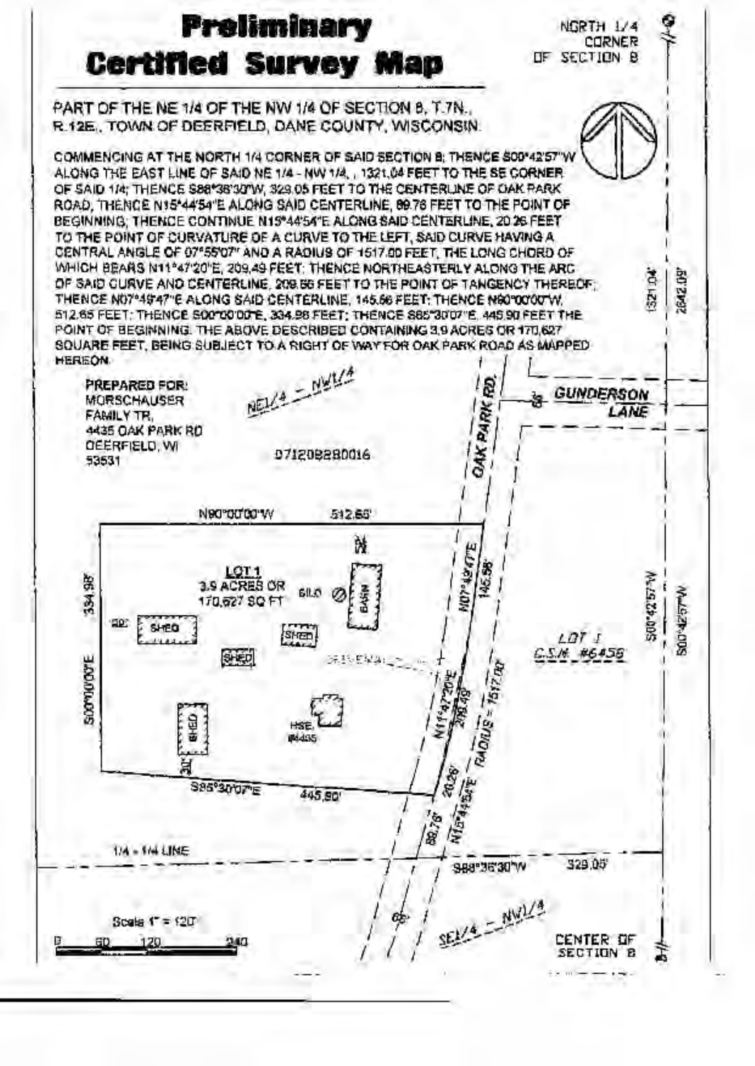